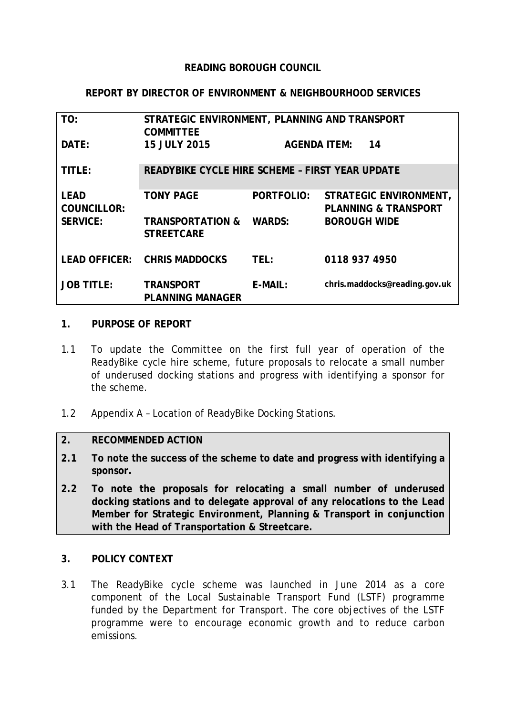### **READING BOROUGH COUNCIL**

### **REPORT BY DIRECTOR OF ENVIRONMENT & NEIGHBOURHOOD SERVICES**

| TO:                               | STRATEGIC ENVIRONMENT, PLANNING AND TRANSPORT<br><b>COMMITTEE</b> |                           |                                                                  |
|-----------------------------------|-------------------------------------------------------------------|---------------------------|------------------------------------------------------------------|
| DATE:                             | <b>15 JULY 2015</b>                                               | <b>AGENDA ITEM:</b><br>14 |                                                                  |
| TITLE:                            | READYBIKE CYCLE HIRE SCHEME - FIRST YEAR UPDATE                   |                           |                                                                  |
| <b>LEAD</b><br><b>COUNCILLOR:</b> | <b>TONY PAGE</b>                                                  | PORTFOLIO:                | <b>STRATEGIC ENVIRONMENT,</b><br><b>PLANNING &amp; TRANSPORT</b> |
| <b>SERVICE:</b>                   | <b>TRANSPORTATION &amp;</b><br><b>STREETCARE</b>                  | <b>WARDS:</b>             | <b>BOROUGH WIDE</b>                                              |
|                                   | LEAD OFFICER: CHRIS MADDOCKS                                      | TEL:                      | 0118 937 4950                                                    |
| <b>JOB TITLE:</b>                 | <b>TRANSPORT</b><br><b>PLANNING MANAGER</b>                       | E-MAIL:                   | chris.maddocks@reading.gov.uk                                    |

#### **1. PURPOSE OF REPORT**

- 1.1 To update the Committee on the first full year of operation of the ReadyBike cycle hire scheme, future proposals to relocate a small number of underused docking stations and progress with identifying a sponsor for the scheme.
- 1.2 Appendix A Location of ReadyBike Docking Stations.

#### **2. RECOMMENDED ACTION**

- **2.1 To note the success of the scheme to date and progress with identifying a sponsor.**
- **2.2 To note the proposals for relocating a small number of underused docking stations and to delegate approval of any relocations to the Lead Member for Strategic Environment, Planning & Transport in conjunction with the Head of Transportation & Streetcare.**

### **3. POLICY CONTEXT**

3.1 The ReadyBike cycle scheme was launched in June 2014 as a core component of the Local Sustainable Transport Fund (LSTF) programme funded by the Department for Transport. The core objectives of the LSTF programme were to encourage economic growth and to reduce carbon emissions.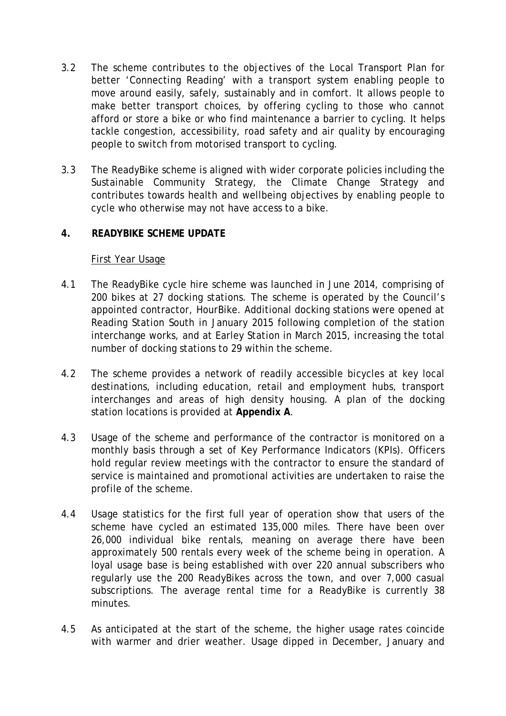- 3.2 The scheme contributes to the objectives of the Local Transport Plan for better 'Connecting Reading' with a transport system enabling people to move around easily, safely, sustainably and in comfort. It allows people to make better transport choices, by offering cycling to those who cannot afford or store a bike or who find maintenance a barrier to cycling. It helps tackle congestion, accessibility, road safety and air quality by encouraging people to switch from motorised transport to cycling.
- 3.3 The ReadyBike scheme is aligned with wider corporate policies including the Sustainable Community Strategy, the Climate Change Strategy and contributes towards health and wellbeing objectives by enabling people to cycle who otherwise may not have access to a bike.

## **4. READYBIKE SCHEME UPDATE**

### First Year Usage

- 4.1 The ReadyBike cycle hire scheme was launched in June 2014, comprising of 200 bikes at 27 docking stations. The scheme is operated by the Council's appointed contractor, HourBike. Additional docking stations were opened at Reading Station South in January 2015 following completion of the station interchange works, and at Earley Station in March 2015, increasing the total number of docking stations to 29 within the scheme.
- 4.2 The scheme provides a network of readily accessible bicycles at key local destinations, including education, retail and employment hubs, transport interchanges and areas of high density housing. A plan of the docking station locations is provided at **Appendix A**.
- 4.3 Usage of the scheme and performance of the contractor is monitored on a monthly basis through a set of Key Performance Indicators (KPIs). Officers hold regular review meetings with the contractor to ensure the standard of service is maintained and promotional activities are undertaken to raise the profile of the scheme.
- 4.4 Usage statistics for the first full year of operation show that users of the scheme have cycled an estimated 135,000 miles. There have been over 26,000 individual bike rentals, meaning on average there have been approximately 500 rentals every week of the scheme being in operation. A loyal usage base is being established with over 220 annual subscribers who regularly use the 200 ReadyBikes across the town, and over 7,000 casual subscriptions. The average rental time for a ReadyBike is currently 38 minutes.
- 4.5 As anticipated at the start of the scheme, the higher usage rates coincide with warmer and drier weather. Usage dipped in December, January and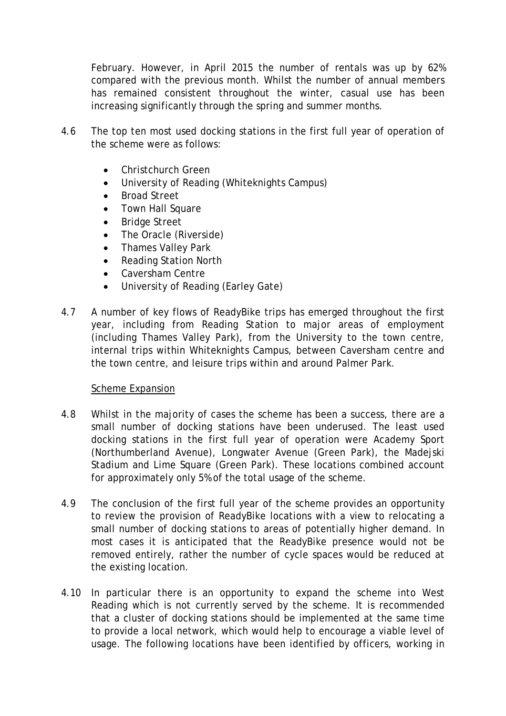February. However, in April 2015 the number of rentals was up by 62% compared with the previous month. Whilst the number of annual members has remained consistent throughout the winter, casual use has been increasing significantly through the spring and summer months.

- 4.6 The top ten most used docking stations in the first full year of operation of the scheme were as follows:
	- Christchurch Green
	- University of Reading (Whiteknights Campus)
	- Broad Street
	- Town Hall Square
	- Bridge Street
	- The Oracle (Riverside)
	- Thames Valley Park
	- Reading Station North
	- Caversham Centre
	- University of Reading (Earley Gate)
- 4.7 A number of key flows of ReadyBike trips has emerged throughout the first year, including from Reading Station to major areas of employment (including Thames Valley Park), from the University to the town centre, internal trips within Whiteknights Campus, between Caversham centre and the town centre, and leisure trips within and around Palmer Park.

### Scheme Expansion

- 4.8 Whilst in the majority of cases the scheme has been a success, there are a small number of docking stations have been underused. The least used docking stations in the first full year of operation were Academy Sport (Northumberland Avenue), Longwater Avenue (Green Park), the Madejski Stadium and Lime Square (Green Park). These locations combined account for approximately only 5% of the total usage of the scheme.
- 4.9 The conclusion of the first full year of the scheme provides an opportunity to review the provision of ReadyBike locations with a view to relocating a small number of docking stations to areas of potentially higher demand. In most cases it is anticipated that the ReadyBike presence would not be removed entirely, rather the number of cycle spaces would be reduced at the existing location.
- 4.10 In particular there is an opportunity to expand the scheme into West Reading which is not currently served by the scheme. It is recommended that a cluster of docking stations should be implemented at the same time to provide a local network, which would help to encourage a viable level of usage. The following locations have been identified by officers, working in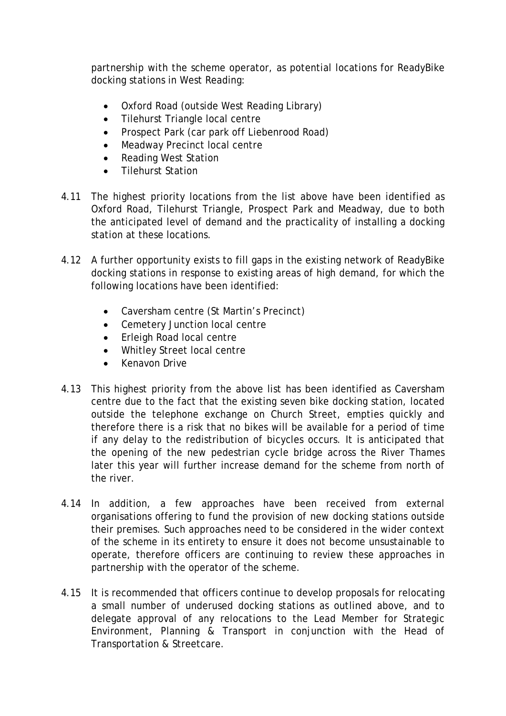partnership with the scheme operator, as potential locations for ReadyBike docking stations in West Reading:

- Oxford Road (outside West Reading Library)
- Tilehurst Triangle local centre
- Prospect Park (car park off Liebenrood Road)
- Meadway Precinct local centre
- Reading West Station
- Tilehurst Station
- 4.11 The highest priority locations from the list above have been identified as Oxford Road, Tilehurst Triangle, Prospect Park and Meadway, due to both the anticipated level of demand and the practicality of installing a docking station at these locations.
- 4.12 A further opportunity exists to fill gaps in the existing network of ReadyBike docking stations in response to existing areas of high demand, for which the following locations have been identified:
	- Caversham centre (St Martin's Precinct)
	- Cemetery Junction local centre
	- Erleigh Road local centre
	- Whitley Street local centre
	- Kenavon Drive
- 4.13 This highest priority from the above list has been identified as Caversham centre due to the fact that the existing seven bike docking station, located outside the telephone exchange on Church Street, empties quickly and therefore there is a risk that no bikes will be available for a period of time if any delay to the redistribution of bicycles occurs. It is anticipated that the opening of the new pedestrian cycle bridge across the River Thames later this year will further increase demand for the scheme from north of the river.
- 4.14 In addition, a few approaches have been received from external organisations offering to fund the provision of new docking stations outside their premises. Such approaches need to be considered in the wider context of the scheme in its entirety to ensure it does not become unsustainable to operate, therefore officers are continuing to review these approaches in partnership with the operator of the scheme.
- 4.15 It is recommended that officers continue to develop proposals for relocating a small number of underused docking stations as outlined above, and to delegate approval of any relocations to the Lead Member for Strategic Environment, Planning & Transport in conjunction with the Head of Transportation & Streetcare.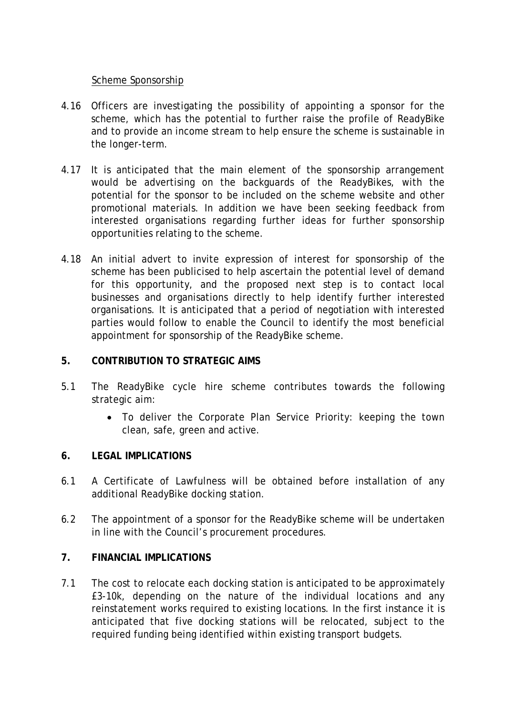### Scheme Sponsorship

- 4.16 Officers are investigating the possibility of appointing a sponsor for the scheme, which has the potential to further raise the profile of ReadyBike and to provide an income stream to help ensure the scheme is sustainable in the longer-term.
- 4.17 It is anticipated that the main element of the sponsorship arrangement would be advertising on the backguards of the ReadyBikes, with the potential for the sponsor to be included on the scheme website and other promotional materials. In addition we have been seeking feedback from interested organisations regarding further ideas for further sponsorship opportunities relating to the scheme.
- 4.18 An initial advert to invite expression of interest for sponsorship of the scheme has been publicised to help ascertain the potential level of demand for this opportunity, and the proposed next step is to contact local businesses and organisations directly to help identify further interested organisations. It is anticipated that a period of negotiation with interested parties would follow to enable the Council to identify the most beneficial appointment for sponsorship of the ReadyBike scheme.

### **5. CONTRIBUTION TO STRATEGIC AIMS**

- 5.1 The ReadyBike cycle hire scheme contributes towards the following strategic aim:
	- To deliver the Corporate Plan Service Priority: keeping the town clean, safe, green and active.

## **6. LEGAL IMPLICATIONS**

- 6.1 A Certificate of Lawfulness will be obtained before installation of any additional ReadyBike docking station.
- 6.2 The appointment of a sponsor for the ReadyBike scheme will be undertaken in line with the Council's procurement procedures.

## **7. FINANCIAL IMPLICATIONS**

7.1 The cost to relocate each docking station is anticipated to be approximately £3-10k, depending on the nature of the individual locations and any reinstatement works required to existing locations. In the first instance it is anticipated that five docking stations will be relocated, subject to the required funding being identified within existing transport budgets.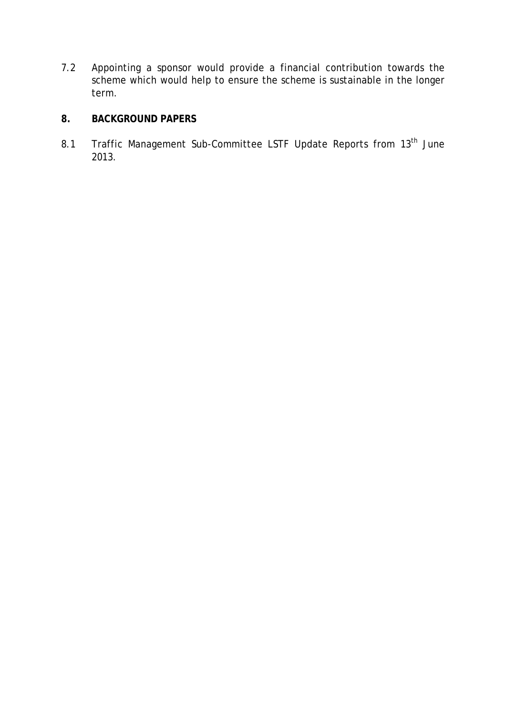7.2 Appointing a sponsor would provide a financial contribution towards the scheme which would help to ensure the scheme is sustainable in the longer term.

# **8. BACKGROUND PAPERS**

8.1 Traffic Management Sub-Committee LSTF Update Reports from 13<sup>th</sup> June 2013.